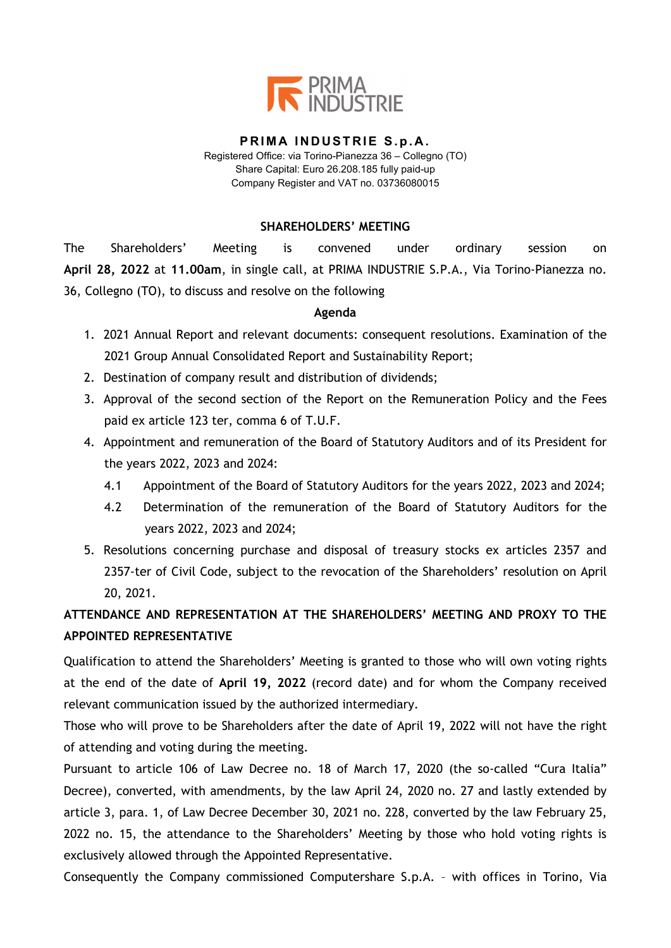

#### **PRIMA INDUSTRIE S.p.A.** Registered Office: via Torino-Pianezza 36 – Collegno (TO) Share Capital: Euro 26.208.185 fully paid-up

Company Register and VAT no. 03736080015

## **SHAREHOLDERS' MEETING**

The Shareholders' Meeting is convened under ordinary session on **April 28, 2022** at **11.00am**, in single call, at PRIMA INDUSTRIE S.P.A., Via Torino-Pianezza no. 36, Collegno (TO), to discuss and resolve on the following

## **Agenda**

- 1. 2021 Annual Report and relevant documents: consequent resolutions. Examination of the 2021 Group Annual Consolidated Report and Sustainability Report;
- 2. Destination of company result and distribution of dividends;
- 3. Approval of the second section of the Report on the Remuneration Policy and the Fees paid ex article 123 ter, comma 6 of T.U.F.
- 4. Appointment and remuneration of the Board of Statutory Auditors and of its President for the years 2022, 2023 and 2024:
	- 4.1 Appointment of the Board of Statutory Auditors for the years 2022, 2023 and 2024;
	- 4.2 Determination of the remuneration of the Board of Statutory Auditors for the years 2022, 2023 and 2024;
- 5. Resolutions concerning purchase and disposal of treasury stocks ex articles 2357 and 2357-ter of Civil Code, subject to the revocation of the Shareholders' resolution on April 20, 2021.

# **ATTENDANCE AND REPRESENTATION AT THE SHAREHOLDERS' MEETING AND PROXY TO THE APPOINTED REPRESENTATIVE**

Qualification to attend the Shareholders' Meeting is granted to those who will own voting rights at the end of the date of **April 19, 2022** (record date) and for whom the Company received relevant communication issued by the authorized intermediary.

Those who will prove to be Shareholders after the date of April 19, 2022 will not have the right of attending and voting during the meeting.

Pursuant to article 106 of Law Decree no. 18 of March 17, 2020 (the so-called "Cura Italia" Decree), converted, with amendments, by the law April 24, 2020 no. 27 and lastly extended by article 3, para. 1, of Law Decree December 30, 2021 no. 228, converted by the law February 25, 2022 no. 15, the attendance to the Shareholders' Meeting by those who hold voting rights is exclusively allowed through the Appointed Representative.

Consequently the Company commissioned Computershare S.p.A. – with offices in Torino, Via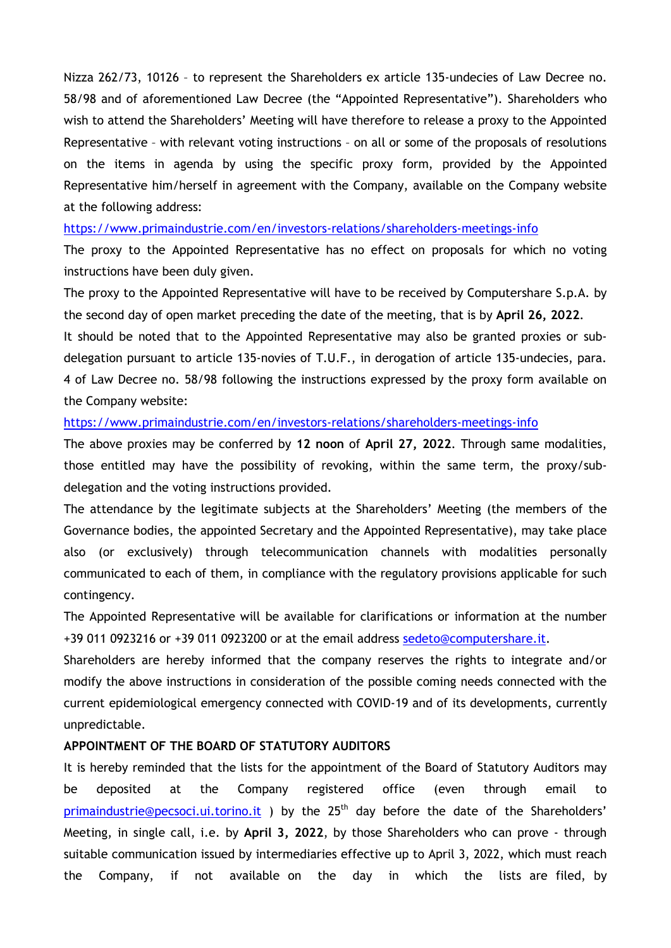Nizza 262/73, 10126 – to represent the Shareholders ex article 135-undecies of Law Decree no. 58/98 and of aforementioned Law Decree (the "Appointed Representative"). Shareholders who wish to attend the Shareholders' Meeting will have therefore to release a proxy to the Appointed Representative – with relevant voting instructions – on all or some of the proposals of resolutions on the items in agenda by using the specific proxy form, provided by the Appointed Representative him/herself in agreement with the Company, available on the Company website at the following address:

<https://www.primaindustrie.com/en/investors-relations/shareholders-meetings-info>

The proxy to the Appointed Representative has no effect on proposals for which no voting instructions have been duly given.

The proxy to the Appointed Representative will have to be received by Computershare S.p.A. by the second day of open market preceding the date of the meeting, that is by **April 26, 2022**.

It should be noted that to the Appointed Representative may also be granted proxies or subdelegation pursuant to article 135-novies of T.U.F., in derogation of article 135-undecies, para. 4 of Law Decree no. 58/98 following the instructions expressed by the proxy form available on the Company website:

## <https://www.primaindustrie.com/en/investors-relations/shareholders-meetings-info>

The above proxies may be conferred by **12 noon** of **April 27, 2022**. Through same modalities, those entitled may have the possibility of revoking, within the same term, the proxy/subdelegation and the voting instructions provided.

The attendance by the legitimate subjects at the Shareholders' Meeting (the members of the Governance bodies, the appointed Secretary and the Appointed Representative), may take place also (or exclusively) through telecommunication channels with modalities personally communicated to each of them, in compliance with the regulatory provisions applicable for such contingency.

The Appointed Representative will be available for clarifications or information at the number +39 011 0923216 or +39 011 0923200 or at the email address [sedeto@computershare.it.](mailto:sedeto@computershare.it)

Shareholders are hereby informed that the company reserves the rights to integrate and/or modify the above instructions in consideration of the possible coming needs connected with the current epidemiological emergency connected with COVID-19 and of its developments, currently unpredictable.

## **APPOINTMENT OF THE BOARD OF STATUTORY AUDITORS**

It is hereby reminded that the lists for the appointment of the Board of Statutory Auditors may be deposited at the Company registered office (even through email to [primaindustrie@pecsoci.ui.torino.it](mailto:primaindustrie@pecsoci.ui.torino.it)) by the  $25<sup>th</sup>$  day before the date of the Shareholders' Meeting, in single call, i.e. by **April 3, 2022**, by those Shareholders who can prove - through suitable communication issued by intermediaries effective up to April 3, 2022, which must reach the Company, if not available on the day in which the lists are filed, by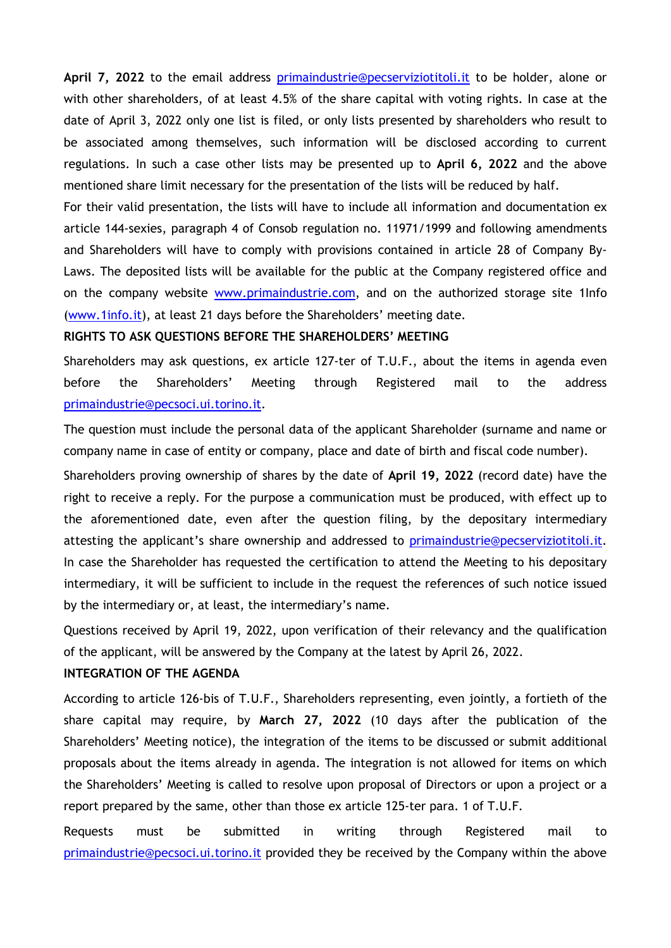**April 7, 2022** to the email address [primaindustrie@pecserviziotitoli.it](mailto:primaindustrie@pecserviziotitoli.it) to be holder, alone or with other shareholders, of at least 4.5% of the share capital with voting rights. In case at the date of April 3, 2022 only one list is filed, or only lists presented by shareholders who result to be associated among themselves, such information will be disclosed according to current regulations. In such a case other lists may be presented up to **April 6, 2022** and the above mentioned share limit necessary for the presentation of the lists will be reduced by half.

For their valid presentation, the lists will have to include all information and documentation ex article 144-sexies, paragraph 4 of Consob regulation no. 11971/1999 and following amendments and Shareholders will have to comply with provisions contained in article 28 of Company By-Laws. The deposited lists will be available for the public at the Company registered office and on the company website [www.primaindustrie.com,](http://www.primaindustrie.com/) and on the authorized storage site 1Info [\(www.1info.it\)](http://www.1info.it/), at least 21 days before the Shareholders' meeting date.

### **RIGHTS TO ASK QUESTIONS BEFORE THE SHAREHOLDERS' MEETING**

Shareholders may ask questions, ex article 127-ter of T.U.F., about the items in agenda even before the Shareholders' Meeting through Registered mail to the address [primaindustrie@pecsoci.ui.torino.it.](mailto:primaindustrie@pecsoci.ui.torino.it)

The question must include the personal data of the applicant Shareholder (surname and name or company name in case of entity or company, place and date of birth and fiscal code number).

Shareholders proving ownership of shares by the date of **April 19, 2022** (record date) have the right to receive a reply. For the purpose a communication must be produced, with effect up to the aforementioned date, even after the question filing, by the depositary intermediary attesting the applicant's share ownership and addressed to [primaindustrie@pecserviziotitoli.it.](mailto:primaindustrie@pecserviziotitoli.it) In case the Shareholder has requested the certification to attend the Meeting to his depositary intermediary, it will be sufficient to include in the request the references of such notice issued by the intermediary or, at least, the intermediary's name.

Questions received by April 19, 2022, upon verification of their relevancy and the qualification of the applicant, will be answered by the Company at the latest by April 26, 2022.

### **INTEGRATION OF THE AGENDA**

According to article 126-bis of T.U.F., Shareholders representing, even jointly, a fortieth of the share capital may require, by **March 27, 2022** (10 days after the publication of the Shareholders' Meeting notice), the integration of the items to be discussed or submit additional proposals about the items already in agenda. The integration is not allowed for items on which the Shareholders' Meeting is called to resolve upon proposal of Directors or upon a project or a report prepared by the same, other than those ex article 125-ter para. 1 of T.U.F.

Requests must be submitted in writing through Registered mail to [primaindustrie@pecsoci.ui.torino.it](mailto:primaindustrie@pecsoci.ui.torino.it) provided they be received by the Company within the above